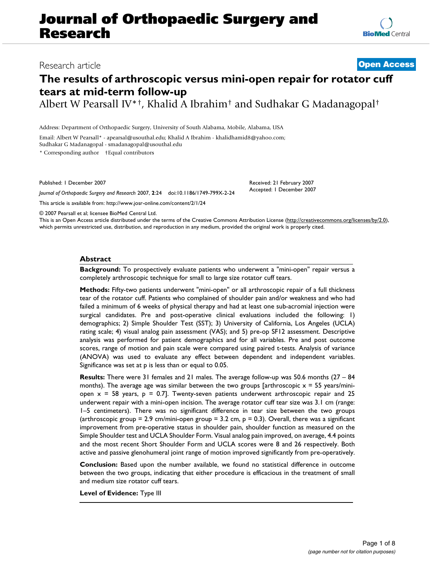# **Journal of Orthopaedic Surgery and Research**

# Research article **[Open Access](http://www.biomedcentral.com/info/about/charter/)**

# **The results of arthroscopic versus mini-open repair for rotator cuff tears at mid-term follow-up**

Albert W Pearsall IV\*†, Khalid A Ibrahim† and Sudhakar G Madanagopal†

Address: Department of Orthopaedic Surgery, University of South Alabama, Mobile, Alabama, USA

Email: Albert W Pearsall\* - apearsal@usouthal.edu; Khalid A Ibrahim - khalidhamid8@yahoo.com;

Sudhakar G Madanagopal - smadanagopal@usouthal.edu

\* Corresponding author †Equal contributors

Published: 1 December 2007

*Journal of Orthopaedic Surgery and Research* 2007, **2**:24 doi:10.1186/1749-799X-2-24

This article is available from: http://www.josr-online.com/content/2/1/24

Received: 21 February 2007 Accepted: 1 December 2007

© 2007 Pearsall et al; licensee BioMed Central Ltd.

This is an Open Access article distributed under the terms of the Creative Commons Attribution License (http://creativecommons.org/licenses/by/2.0), which permits unrestricted use, distribution, and reproduction in any medium, provided the original work is properly cited.

## **Abstract**

**Background:** To prospectively evaluate patients who underwent a "mini-open" repair versus a completely arthroscopic technique for small to large size rotator cuff tears.

**Methods:** Fifty-two patients underwent "mini-open" or all arthroscopic repair of a full thickness tear of the rotator cuff. Patients who complained of shoulder pain and/or weakness and who had failed a minimum of 6 weeks of physical therapy and had at least one sub-acromial injection were surgical candidates. Pre and post-operative clinical evaluations included the following: 1) demographics; 2) Simple Shoulder Test (SST); 3) University of California, Los Angeles (UCLA) rating scale; 4) visual analog pain assessment (VAS); and 5) pre-op SF12 assessment. Descriptive analysis was performed for patient demographics and for all variables. Pre and post outcome scores, range of motion and pain scale were compared using paired t-tests. Analysis of variance (ANOVA) was used to evaluate any effect between dependent and independent variables. Significance was set at p is less than or equal to 0.05.

**Results:** There were 31 females and 21 males. The average follow-up was 50.6 months (27 – 84 months). The average age was similar between the two groups [arthroscopic  $x = 55$  years/miniopen  $x = 58$  years,  $p = 0.7$ ]. Twenty-seven patients underwent arthroscopic repair and 25 underwent repair with a mini-open incision. The average rotator cuff tear size was 3.1 cm (range: 1–5 centimeters). There was no significant difference in tear size between the two groups (arthroscopic group = 2.9 cm/mini-open group = 3.2 cm,  $p = 0.3$ ). Overall, there was a significant improvement from pre-operative status in shoulder pain, shoulder function as measured on the Simple Shoulder test and UCLA Shoulder Form. Visual analog pain improved, on average, 4.4 points and the most recent Short Shoulder Form and UCLA scores were 8 and 26 respectively. Both active and passive glenohumeral joint range of motion improved significantly from pre-operatively.

**Conclusion:** Based upon the number available, we found no statistical difference in outcome between the two groups, indicating that either procedure is efficacious in the treatment of small and medium size rotator cuff tears.

**Level of Evidence:** Type III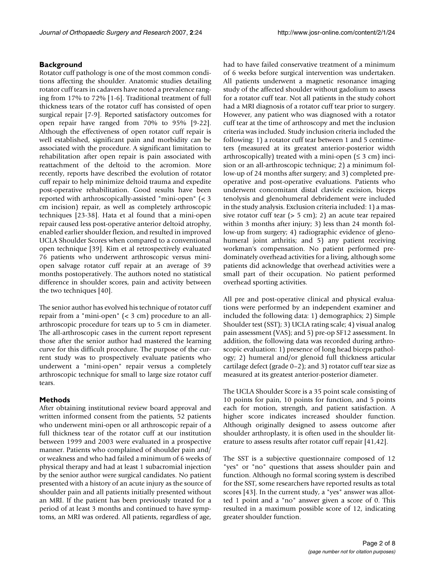# **Background**

Rotator cuff pathology is one of the most common conditions affecting the shoulder. Anatomic studies detailing rotator cuff tears in cadavers have noted a prevalence ranging from 17% to 72% [1-6]. Traditional treatment of full thickness tears of the rotator cuff has consisted of open surgical repair [7-9]. Reported satisfactory outcomes for open repair have ranged from 70% to 95% [9-22]. Although the effectiveness of open rotator cuff repair is well established, significant pain and morbidity can be associated with the procedure. A significant limitation to rehabilitation after open repair is pain associated with reattachment of the deltoid to the acromion. More recently, reports have described the evolution of rotator cuff repair to help minimize deltoid trauma and expedite post-operative rehabilitation. Good results have been reported with arthroscopically-assisted "mini-open" (< 3 cm incision) repair, as well as completely arthroscopic techniques [23-38]. Hata et al found that a mini-open repair caused less post-operative anterior deltoid atrophy, enabled earlier shoulder flexion, and resulted in improved UCLA Shoulder Scores when compared to a conventional open technique [39]. Kim et al retrospectively evaluated 76 patients who underwent arthroscopic versus miniopen salvage rotator cuff repair at an average of 39 months postoperatively. The authors noted no statistical difference in shoulder scores, pain and activity between the two techniques [40].

The senior author has evolved his technique of rotator cuff repair from a "mini-open" (< 3 cm) procedure to an allarthroscopic procedure for tears up to 5 cm in diameter. The all-arthroscopic cases in the current report represent those after the senior author had mastered the learning curve for this difficult procedure. The purpose of the current study was to prospectively evaluate patients who underwent a "mini-open" repair versus a completely arthroscopic technique for small to large size rotator cuff tears.

## **Methods**

After obtaining institutional review board approval and written informed consent from the patients, 52 patients who underwent mini-open or all arthroscopic repair of a full thickness tear of the rotator cuff at our institution between 1999 and 2003 were evaluated in a prospective manner. Patients who complained of shoulder pain and/ or weakness and who had failed a minimum of 6 weeks of physical therapy and had at least 1 subacromial injection by the senior author were surgical candidates. No patient presented with a history of an acute injury as the source of shoulder pain and all patients initially presented without an MRI. If the patient has been previously treated for a period of at least 3 months and continued to have symptoms, an MRI was ordered. All patients, regardless of age,

had to have failed conservative treatment of a minimum of 6 weeks before surgical intervention was undertaken. All patients underwent a magnetic resonance imaging study of the affected shoulder without gadolium to assess for a rotator cuff tear. Not all patients in the study cohort had a MRI diagnosis of a rotator cuff tear prior to surgery. However, any patient who was diagnosed with a rotator cuff tear at the time of arthroscopy and met the inclusion criteria was included. Study inclusion criteria included the following: 1) a rotator cuff tear between 1 and 5 centimeters (measured at its greatest anterior-posterior width arthroscopically) treated with a mini-open  $( \leq 3 \text{ cm} )$  incision or an all-arthroscopic technique; 2) a minimum follow-up of 24 months after surgery; and 3) completed preoperative and post-operative evaluations. Patients who underwent concomitant distal clavicle excision, biceps tenolysis and glenohumeral debridement were included in the study analysis. Exclusion criteria included: 1) a massive rotator cuff tear  $(> 5 cm)$ ; 2) an acute tear repaired within 3 months after injury; 3) less than 24 month follow-up from surgery; 4) radiographic evidence of glenohumeral joint arthritis; and 5) any patient receiving workman's compensation. No patient performed predominately overhead activities for a living, although some patients did acknowledge that overhead activities were a small part of their occupation. No patient performed overhead sporting activities.

All pre and post-operative clinical and physical evaluations were performed by an independent examiner and included the following data: 1) demographics; 2) Simple Shoulder test (SST); 3) UCLA rating scale; 4) visual analog pain assessment (VAS); and 5) pre-op SF12 assessment. In addition, the following data was recorded during arthroscopic evaluation: 1) presence of long head biceps pathology; 2) humeral and/or glenoid full thickness articular cartilage defect (grade 0–2); and 3) rotator cuff tear size as measured at its greatest anterior-posterior diameter.

The UCLA Shoulder Score is a 35 point scale consisting of 10 points for pain, 10 points for function, and 5 points each for motion, strength, and patient satisfaction. A higher score indicates increased shoulder function. Although originally designed to assess outcome after shoulder arthroplasty, it is often used in the shoulder literature to assess results after rotator cuff repair [41,42].

The SST is a subjective questionnaire composed of 12 "yes" or "no" questions that assess shoulder pain and function. Although no formal scoring system is described for the SST, some researchers have reported results as total scores [43]. In the current study, a "yes" answer was allotted 1 point and a "no" answer given a score of 0. This resulted in a maximum possible score of 12, indicating greater shoulder function.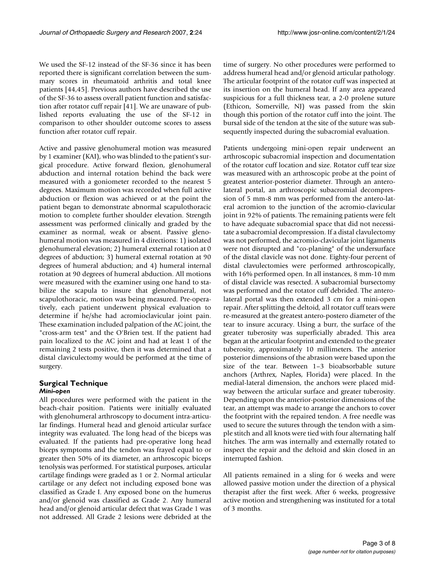We used the SF-12 instead of the SF-36 since it has been reported there is significant correlation between the summary scores in rheumatoid arthritis and total knee patients [44,45]. Previous authors have described the use of the SF-36 to assess overall patient function and satisfaction after rotator cuff repair [41]. We are unaware of published reports evaluating the use of the SF-12 in comparison to other shoulder outcome scores to assess function after rotator cuff repair.

Active and passive glenohumeral motion was measured by 1 examiner (KAI), who was blinded to the patient's surgical procedure. Active forward flexion, glenohumeral abduction and internal rotation behind the back were measured with a goniometer recorded to the nearest 5 degrees. Maximum motion was recorded when full active abduction or flexion was achieved or at the point the patient began to demonstrate abnormal scapulothoracic motion to complete further shoulder elevation. Strength assessment was performed clinically and graded by the examiner as normal, weak or absent. Passive glenohumeral motion was measured in 4 directions: 1) isolated glenohumeral elevation; 2) humeral external rotation at 0 degrees of abduction; 3) humeral external rotation at 90 degrees of humeral abduction; and 4) humeral internal rotation at 90 degrees of humeral abduction. All motions were measured with the examiner using one hand to stabilize the scapula to insure that glenohumeral, not scapulothoracic, motion was being measured. Pre-operatively, each patient underwent physical evaluation to determine if he/she had acromioclavicular joint pain. These examination included palpation of the AC joint, the "cross-arm test" and the O'Brien test. If the patient had pain localized to the AC joint and had at least 1 of the remaining 2 tests positive, then it was determined that a distal claviculectomy would be performed at the time of surgery.

# **Surgical Technique** *Mini-open*

All procedures were performed with the patient in the beach-chair position. Patients were initially evaluated with glenohumeral arthroscopy to document intra-articular findings. Humeral head and glenoid articular surface integrity was evaluated. The long head of the biceps was evaluated. If the patients had pre-operative long head biceps symptoms and the tendon was frayed equal to or greater then 50% of its diameter, an arthroscopic biceps tenolysis was performed. For statistical purposes, articular cartilage findings were graded as 1 or 2. Normal articular cartilage or any defect not including exposed bone was classified as Grade I. Any exposed bone on the humerus and/or glenoid was classified as Grade 2. Any humeral head and/or glenoid articular defect that was Grade 1 was not addressed. All Grade 2 lesions were debrided at the time of surgery. No other procedures were performed to address humeral head and/or glenoid articular pathology. The articular footprint of the rotator cuff was inspected at its insertion on the humeral head. If any area appeared suspicious for a full thickness tear, a 2-0 prolene suture (Ethicon, Somerville, NJ) was passed from the skin though this portion of the rotator cuff into the joint. The bursal side of the tendon at the site of the suture was subsequently inspected during the subacromial evaluation.

Patients undergoing mini-open repair underwent an arthroscopic subacromial inspection and documentation of the rotator cuff location and size. Rotator cuff tear size was measured with an arthroscopic probe at the point of greatest anterior-posterior diameter. Through an anterolateral portal, an arthroscopic subacromial decompression of 5 mm-8 mm was performed from the antero-lateral acromion to the junction of the acromio-clavicular joint in 92% of patients. The remaining patients were felt to have adequate subacromial space that did not necessitate a subacromial decompression. If a distal clavulectomy was not performed, the acromio-clavicular joint ligaments were not disrupted and "co-planing" of the undersurface of the distal clavicle was not done. Eighty-four percent of distal clavulectomies were performed arthroscopically, with 16% performed open. In all instances, 8 mm-10 mm of distal clavicle was resected. A subacromial bursectomy was performed and the rotator cuff debrided. The anterolateral portal was then extended 3 cm for a mini-open repair. After splitting the deltoid, all rotator cuff tears were re-measured at the greatest antero-postero diameter of the tear to insure accuracy. Using a burr, the surface of the greater tuberosity was superficially abraded. This area began at the articular footprint and extended to the greater tuberosity, approximately 10 millimeters. The anterior posterior dimensions of the abrasion were based upon the size of the tear. Between 1–3 bioabsorbable suture anchors (Arthrex, Naples, Florida) were placed. In the medial-lateral dimension, the anchors were placed midway between the articular surface and greater tuberosity. Depending upon the anterior-posterior dimensions of the tear, an attempt was made to arrange the anchors to cover the footprint with the repaired tendon. A free needle was used to secure the sutures through the tendon with a simple stitch and all knots were tied with four alternating half hitches. The arm was internally and externally rotated to inspect the repair and the deltoid and skin closed in an interrupted fashion.

All patients remained in a sling for 6 weeks and were allowed passive motion under the direction of a physical therapist after the first week. After 6 weeks, progressive active motion and strengthening was instituted for a total of 3 months.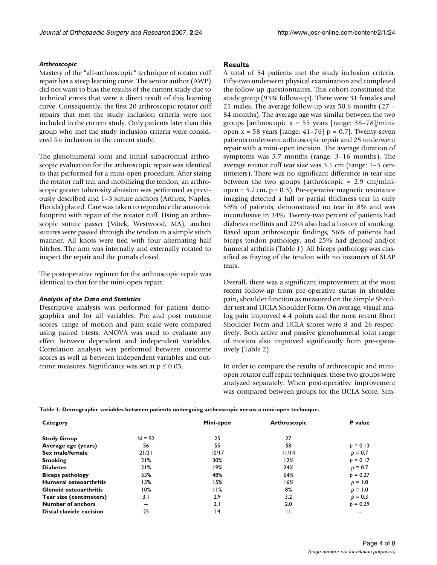#### *Arthroscopic*

Mastery of the "all-arthroscopic" technique of rotator cuff repair has a steep learning curve. The senior author (AWP) did not want to bias the results of the current study due to technical errors that were a direct result of this learning curve. Consequently, the first 20 arthroscopic rotator cuff repairs that met the study inclusion criteria were not included in the current study. Only patients later than this group who met the study inclusion criteria were considered for inclusion in the current study.

The glenohumeral joint and initial subacromial arthroscopic evaluation for the arthroscopic repair was identical to that performed for a mini-open procedure. After sizing the rotator cuff tear and mobilizing the tendon, an arthroscopic greater tuberosity abrasion was performed as previously described and 1–3 suture anchors (Arthrex, Naples, Florida) placed. Care was taken to reproduce the anatomic footprint with repair of the rotator cuff. Using an arthroscopic suture passer (Mitek, Westwood, MA), anchor sutures were passed through the tendon in a simple stitch manner. All knots were tied with four alternating half hitches. The arm was internally and externally rotated to inspect the repair and the portals closed.

The postoperative regimen for the arthroscopic repair was identical to that for the mini-open repair.

#### *Analysis of the Data and Statistics*

Descriptive analysis was performed for patient demographics and for all variables. Pre and post outcome scores, range of motion and pain scale were compared using paired t-tests. ANOVA was used to evaluate any effect between dependent and independent variables. Correlation analysis was performed between outcome scores as well as between independent variables and outcome measures. Significance was set at  $p \le 0.05$ .

#### **Results**

A total of 54 patients met the study inclusion criteria. Fifty-two underwent physical examination and completed the follow-up questionnaires. This cohort constituted the study group (93% follow-up). There were 31 females and 21 males. The average follow-up was 50.6 months (27 – 84 months). The average age was similar between the two groups [arthroscopic  $x = 55$  years [range: 38–78]/miniopen  $x = 58$  years [range: 41-76]  $p = 0.7$ ]. Twenty-seven patients underwent arthroscopic repair and 25 underwent repair with a mini-open incision. The average duration of symptoms was 5.7 months (range: 3–16 months). The average rotator cuff tear size was 3.1 cm (range: 1–5 centimeters). There was no significant difference in tear size between the two groups (arthroscopic  $= 2.9$  cm/miniopen =  $3.2$  cm,  $p = 0.3$ ). Pre-operative magnetic resonance imaging detected a full or partial thickness tear in only 58% of patients, demonstrated no tear in 8% and was inconclusive in 34%. Twenty-two percent of patients had diabetes mellitus and 22% also had a history of smoking. Based upon arthroscopic findings, 56% of patients had biceps tendon pathology, and 25% had glenoid and/or humeral arthritis (Table 1). All biceps pathology was classified as fraying of the tendon with no instances of SLAP tears.

Overall, there was a significant improvement at the most recent follow-up from pre-operative status in shoulder pain, shoulder function as measured on the Simple Shoulder test and UCLA Shoulder Form. On average, visual analog pain improved 4.4 points and the most recent Short Shoulder Form and UCLA scores were 8 and 26 respectively. Both active and passive glenohumeral joint range of motion also improved significantly from pre-operatively (Table 2).

In order to compare the results of arthroscopic and miniopen rotator cuff repair techniques, these two groups were analyzed separately. When post-operative improvement was compared between groups for the UCLA Score, Sim-

**Table 1: Demographic variables between patients undergoing arthroscopic versus a mini-open technique.**

| <b>Category</b>               |          | Mini-open | <b>Arthroscopic</b> | <b>P</b> value |
|-------------------------------|----------|-----------|---------------------|----------------|
| <b>Study Group</b>            | $N = 52$ | 25        | 27                  |                |
| Average age (years)           | 56       | 55        | 58                  | $p = 0.13$     |
| Sex male/female               | 21/31    | 10/17     | 11/14               | $p = 0.7$      |
| <b>Smoking</b>                | 21%      | 30%       | 12%                 | $p = 0.17$     |
| <b>Diabetes</b>               | 21%      | 19%       | 24%                 | $p = 0.7$      |
| <b>Biceps pathology</b>       | 55%      | 48%       | 64%                 | $p = 0.27$     |
| Humeral osteoarthritis        | 15%      | 15%       | 16%                 | $p = 1.0$      |
| <b>Glenoid osteoarthritis</b> | 10%      | 11%       | 8%                  | $p = 1.0$      |
| Tear size (centimeters)       | 3.1      | 2.9       | 3.2                 | $p = 0.3$      |
| Number of anchors             | $- -$    | 2.1       | 2.0                 | $p = 0.29$     |
| Distal clavicle excision      | 25       | 4         | П                   | --             |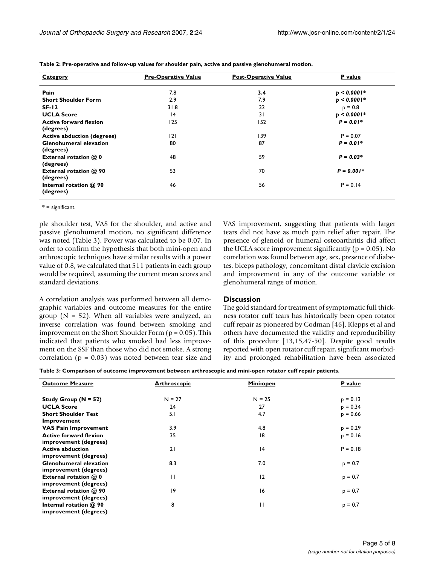| <b>Category</b>                            | <b>Pre-Operative Value</b> | <b>Post-Operative Value</b> | P value       |
|--------------------------------------------|----------------------------|-----------------------------|---------------|
| Pain                                       | 7.8                        | 3.4                         | $p < 0.0001*$ |
| <b>Short Shoulder Form</b>                 | 2.9                        | 7.9                         | $p < 0.0001*$ |
| $SF-12$                                    | 31.8                       | 32                          | $p = 0.8$     |
| <b>UCLA Score</b>                          | 4                          | 31                          | $p < 0.0001*$ |
| <b>Active forward flexion</b>              | 125                        | 152                         | $P = 0.01*$   |
| (degrees)                                  |                            |                             |               |
| <b>Active abduction (degrees)</b>          | 2                          | 139                         | $P = 0.07$    |
| <b>Glenohumeral elevation</b><br>(degrees) | 80                         | 87                          | $P = 0.01*$   |
| External rotation @ 0<br>(degrees)         | 48                         | 59                          | $P = 0.03*$   |
| External rotation @ 90<br>(degrees)        | 53                         | 70                          | $P = 0.001*$  |
| Internal rotation @ 90<br>(degrees)        | 46                         | 56                          | $P = 0.14$    |

**Table 2: Pre-operative and follow-up values for shoulder pain, active and passive glenohumeral motion.**

 $* =$  significant

ple shoulder test, VAS for the shoulder, and active and passive glenohumeral motion, no significant difference was noted (Table 3). Power was calculated to be 0.07. In order to confirm the hypothesis that both mini-open and arthroscopic techniques have similar results with a power value of 0.8, we calculated that 511 patients in each group would be required, assuming the current mean scores and standard deviations.

A correlation analysis was performed between all demographic variables and outcome measures for the entire group ( $N = 52$ ). When all variables were analyzed, an inverse correlation was found between smoking and improvement on the Short Shoulder Form  $(p = 0.05)$ . This indicated that patients who smoked had less improvement on the SSF than those who did not smoke. A strong correlation ( $p = 0.03$ ) was noted between tear size and VAS improvement, suggesting that patients with larger tears did not have as much pain relief after repair. The presence of glenoid or humeral osteoarthritis did affect the UCLA score improvement significantly ( $p = 0.05$ ). No correlation was found between age, sex, presence of diabetes, biceps pathology, concomitant distal clavicle excision and improvement in any of the outcome variable or glenohumeral range of motion.

#### **Discussion**

The gold standard for treatment of symptomatic full thickness rotator cuff tears has historically been open rotator cuff repair as pioneered by Codman [46]. Klepps et al and others have documented the validity and reproducibility of this procedure [13,15,47-50]. Despite good results reported with open rotator cuff repair, significant morbidity and prolonged rehabilitation have been associated

**Table 3: Comparison of outcome improvement between arthroscopic and mini-open rotator cuff repair patients.**

| <b>Outcome Measure</b>                                                   | <b>Arthroscopic</b> | Mini-open    | <b>P</b> value |
|--------------------------------------------------------------------------|---------------------|--------------|----------------|
| Study Group ( $N = 52$ )                                                 | $N = 27$            | $N = 25$     | $p = 0.13$     |
| <b>UCLA Score</b>                                                        | 24                  | 27           | $p = 0.34$     |
| <b>Short Shoulder Test</b><br>Improvement                                | 5.1                 | 4.7          | $p = 0.66$     |
| <b>VAS Pain Improvement</b>                                              | 3.9                 | 4.8          | $p = 0.29$     |
| <b>Active forward flexion</b>                                            | 35                  | 8            | $p = 0.16$     |
| improvement (degrees)                                                    |                     |              |                |
| <b>Active abduction</b>                                                  | 21                  | 4            | $P = 0.18$     |
| improvement (degrees)                                                    |                     |              |                |
| <b>Glenohumeral elevation</b><br>improvement (degrees)                   | 8.3                 | 7.0          | $p = 0.7$      |
| External rotation @ 0<br>improvement (degrees)                           | П                   | 12           | $p = 0.7$      |
| External rotation @ 90                                                   | 19                  | 16           | $p = 0.7$      |
| improvement (degrees)<br>Internal rotation @ 90<br>improvement (degrees) | 8                   | $\mathbf{H}$ | $p = 0.7$      |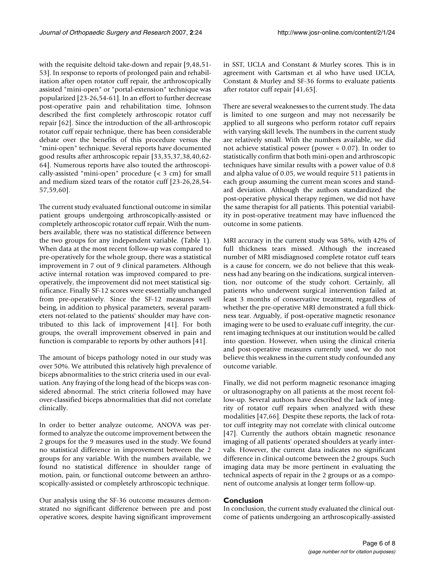with the requisite deltoid take-down and repair [9,48,51- 53]. In response to reports of prolonged pain and rehabilitation after open rotator cuff repair, the arthroscopically assisted "mini-open" or "portal-extension" technique was popularized [23-26,54-61]. In an effort to further decrease post-operative pain and rehabilitation time, Johnson described the first completely arthroscopic rotator cuff repair [62]. Since the introduction of the all-arthroscopic rotator cuff repair technique, there has been considerable debate over the benefits of this procedure versus the "mini-open" technique. Several reports have documented good results after arthroscopic repair [33,35,37,38,40,62- 64]. Numerous reports have also touted the arthroscopically-assisted "mini-open" procedure (< 3 cm) for small and medium sized tears of the rotator cuff [23-26,28,54- 57,59,60].

The current study evaluated functional outcome in similar patient groups undergoing arthroscopically-assisted or completely arthroscopic rotator cuff repair. With the numbers available, there was no statistical difference between the two groups for any independent variable. (Table 1). When data at the most recent follow-up was compared to pre-operatively for the whole group, there was a statistical improvement in 7 out of 9 clinical parameters. Although active internal rotation was improved compared to preoperatively, the improvement did not meet statistical significance. Finally SF-12 scores were essentially unchanged from pre-operatively. Since the SF-12 measures well being, in addition to physical parameters, several parameters not-related to the patients' shoulder may have contributed to this lack of improvement [41]. For both groups, the overall improvement observed in pain and function is comparable to reports by other authors [41].

The amount of biceps pathology noted in our study was over 50%. We attributed this relatively high prevalence of biceps abnormalities to the strict criteria used in our evaluation. Any fraying of the long head of the biceps was considered abnormal. The strict criteria followed may have over-classified biceps abnormalities that did not correlate clinically.

In order to better analyze outcome, ANOVA was performed to analyze the outcome improvement between the 2 groups for the 9 measures used in the study. We found no statistical difference in improvement between the 2 groups for any variable. With the numbers available, we found no statistical difference in shoulder range of motion, pain, or functional outcome between an arthroscopically-assisted or completely arthroscopic technique.

Our analysis using the SF-36 outcome measures demonstrated no significant difference between pre and post operative scores, despite having significant improvement

in SST, UCLA and Constant & Murley scores. This is in agreement with Gartsman et al who have used UCLA, Constant & Murley and SF-36 forms to evaluate patients after rotator cuff repair [41,65].

There are several weaknesses to the current study. The data is limited to one surgeon and may not necessarily be applied to all surgeons who perform rotator cuff repairs with varying skill levels. The numbers in the current study are relatively small. With the numbers available, we did not achieve statistical power (power = 0.07). In order to statistically confirm that both mini-open and arthroscopic techniques have similar results with a power value of 0.8 and alpha value of 0.05, we would require 511 patients in each group assuming the current mean scores and standard deviation. Although the authors standardized the post-operative physical therapy regimen, we did not have the same therapist for all patients. This potential variability in post-operative treatment may have influenced the outcome in some patients.

MRI accuracy in the current study was 58%, with 42% of full thickness tears missed. Although the increased number of MRI misdiagnosed complete rotator cuff tears is a cause for concern, we do not believe that this weakness had any bearing on the indications, surgical intervention, nor outcome of the study cohort. Certainly, all patients who underwent surgical intervention failed at least 3 months of conservative treatment, regardless of whether the pre-operative MRI demonstrated a full thickness tear. Arguably, if post-operative magnetic resonance imaging were to be used to evaluate cuff integrity, the current imaging techniques at our institution would be called into question. However, when using the clinical criteria and post-operative measures currently used, we do not believe this weakness in the current study confounded any outcome variable.

Finally, we did not perform magnetic resonance imaging or ultrasonography on all patients at the most recent follow-up. Several authors have described the lack of integrity of rotator cuff repairs when analyzed with these modalities [47,66]. Despite these reports, the lack of rotator cuff integrity may not correlate with clinical outcome [47]. Currently the authors obtain magnetic resonance imaging of all patients' operated shoulders at yearly intervals. However, the current data indicates no significant difference in clinical outcome between the 2 groups. Such imaging data may be more pertinent in evaluating the technical aspects of repair in the 2 groups or as a component of outcome analysis at longer term follow-up.

#### **Conclusion**

In conclusion, the current study evaluated the clinical outcome of patients undergoing an arthroscopically-assisted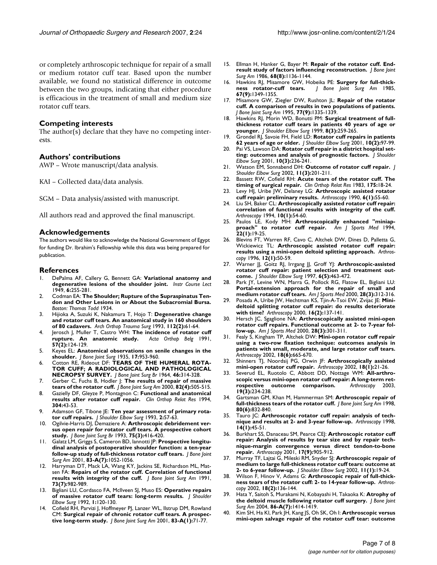or completely arthroscopic technique for repair of a small or medium rotator cuff tear. Based upon the number available, we found no statistical difference in outcome between the two groups, indicating that either procedure is efficacious in the treatment of small and medium size rotator cuff tears.

#### **Competing interests**

The author(s) declare that they have no competing interests.

### **Authors' contributions**

AWP – Wrote manuscript/data analysis.

KAI – Collected data/data analysis.

SGM – Data analysis/assisted with manuscript.

All authors read and approved the final manuscript.

#### **Acknowledgements**

The authors would like to acknowledge the National Government of Egypt for funding Dr. Ibrahim's Fellowship while this data was being prepared for publication.

#### **References**

- 1. DePalma AF, Callery G, Bennett GA: **Variational anatomy and degenerative lesions of the shoulder joint.** *Instr Course Lect* 1949, **6:**255-281.
- 2. Codman EA: **The Shoulder; Rupture of the Supraspinatus Tendon and Other Lesions in or About the Subacromial Bursa.** *Boston: Thomas Todd* 1934.
- 3. Hijioka A, Suzuki K, Nakamura T, Hojo T: **Degenerative change and rotator cuff tears. An anatomical study in 160 shoulders of 80 cadavers.** *Arch Orthop Trauma Surg* 1993, **112(2):**61-64.
- 4. Jerosch J, Muller T, Castro WH: **The incidence of rotator cuff** rupture. An anatomic study. **57(2):**124-129.
- 5. Keyes EL: **Anatomical observations on senile changes in the shoulder.** *J Bone Joint Surg* 1935, **17:**953-960.
- Cotton RE, Rideout DF: TEARS OF THE HUMERAL ROTA-**TOR CUFF; A RADIOLOGICAL AND PATHOLOGICAL NECROPSY SURVEY.** *J Bone Joint Surg Br* 1964, **46:**314-328.
- 7. Gerber C, Fuchs B, Hodler J: **The results of repair of massive tears of the rotator cuff.** *J Bone Joint Surg Am* 2000, **82(4):**505-515.
- 8. Gazielly DF, Gleyze P, Montagnon C: **Functional and anatomical results after rotator cuff repair.** *Clin Orthop Relat Res* 1994, **304:**43-53.
- 9. Adamson GF, Tibone JE: **Ten year assessment of primary rotator cuff repairs.** *J Shoulder Elbow Surg* 1993, **2:**57-63.
- 10. Ogilvie-Harris DJ, Demaziere A: **Arthroscopic debridement versus open repair for rotator cuff tears. A prospective cohort study.** *J Bone Joint Surg Br* 1993, **75(3):**416-420.
- 11. Galatz LM, Griggs S, Cameron BD, Iannotti JP: **Prospective longitudinal analysis of postoperative shoulder function: a ten-year follow-up study of full-thickness rotator cuff tears.** *J Bone Joint Surg Am* 2001, **83-A(7):**1052-1056.
- 12. Harryman DT, Mack LA, Wang KY, Jackins SE, Richardson ML, Matsen FA: **Repairs of the rotator cuff. Correlation of functional results with integrity of the cuff.** *J Bone Joint Surg Am* 1991, **73(7):**982-989.
- 13. Bigliani LU, Cordasco FA, McIlveen SJ, Muso ES: **Operative repairs of massive rotator cuff tears: long-term results.** *J Shoulder Elbow Surg* 1992, **1:**120-130.
- Cofield RH, Parvizi J, Hoffmeyer PJ, Lanzer WL, Ilstrup DM, Rowland CM: **Surgical repair of chronic rotator cuff tears. A prospective long-term study.** *J Bone Joint Surg Am* 2001, **83-A(1):**71-77.
- 15. Ellman H, Hanker G, Bayer M: **Repair of the rotator cuff. Endresult study of factors influencing reconstruction.** *J Bone Joint Surg Am* 1986, **68(8):**1136-1144.
- 16. Hawkins RJ, Misamore GW, Hobeika PE: **Surgery for full-thickness rotator-cuff tears.** *J Bone Joint Surg Am* 1985, **67(9):**1349-1355.
- 17. Misamore GW, Ziegler DW, Rushton JL: **Repair of the rotator cuff. A comparison of results in two populations of patients.** *J Bone Joint Surg Am* 1995, **77(9):**1335-1339.
- 18. Hawkins RJ, Morin WD, Bonutti PM: **Surgical treatment of fullthickness rotator cuff tears in patients 40 years of age or younger.** *J Shoulder Elbow Surg* 1999, **8(3):**259-265.
- 19. Grondel RJ, Savoie FH, Field LD: **Rotator cuff repairs in patients 62 years of age or older.** *J Shoulder Elbow Surg* 2001, **10(2):**97-99.
- 20. Pai VS, Lawson DA: **Rotator cuff repair in a district hospital setting: outcomes and analysis of prognostic factors.** *J Shoulder Elbow Surg* 2001, **10(3):**236-241.
- 21. Watson EM, Sonnabend DH: **Outcome of rotator cuff repair.** *J Shoulder Elbow Surg* 2002, **11(3):**201-211.
- 22. Bassett RW, Cofield RH: **Acute tears of the rotator cuff. The timing of surgical repair.** *Clin Orthop Relat Res* 1983, **175:**18-24.
- 23. Levy HJ, Uribe JW, Delaney LG: **Arthroscopic assisted rotator cuff repair: preliminary results.** *Arthroscopy* 1990, **6(1):**55-60.
- 24. Liu SH, Baker CL: **Arthroscopically assisted rotator cuff repair: correlation of functional results with integrity of the cuff.** *Arthroscopy* 1994, **10(1):**54-60.
- 25. Paulos LE, Kody MH: **Arthroscopically enhanced "miniapproach" to rotator cuff repair.** *Am J Sports Med* 1994, **22(1):**19-25.
- 26. Blevins FT, Warren RF, Cavo C, Altchek DW, Dines D, Palletta G, Wickiewicz TL: **Arthroscopic assisted rotator cuff repair: results using a mini-open deltoid splitting approach.** *Arthroscopy* 1996, **12(1):**50-59.
- 27. Warner JJ, Goitz RJ, Irrgang JJ, Groff YJ: **Arthroscopic-assisted rotator cuff repair: patient selection and treatment outcome.** *J Shoulder Elbow Surg* 1997, **6(5):**463-472.
- 28. Park JY, Levine WN, Marra G, Pollock RG, Flatow EL, Bigliani LU: **Portal-extension approach for the repair of small and medium rotator cuff tears.** *Am J Sports Med* 2000, **28(3):**312-316.
- 29. Posada A, Uribe JW, Hechtman KS, Tjin-A-Tsoi EW, Zvijac JE: **Minideltoid splitting rotator cuff repair: do results deteriorate with time?** *Arthroscopy* 2000, **16(2):**137-141.
- 30. Hersch JC, Sgaglione NA: **Arthroscopically assisted mini-open rotator cuff repairs. Functional outcome at 2- to 7-year follow-up.** *Am J Sports Med* 2000, **28(3):**301-311.
- 31. Fealy S, Kingham TP, Altchek DW: **Mini-open rotator cuff repair using a two-row fixation technique: outcomes analysis in patients with small, moderate, and large rotator cuff tears.** *Arthroscopy* 2002, **18(6):**665-670.
- 32. Shinners TJ, Noordsij PG, Orwin JF: **Arthroscopically assisted mini-open rotator cuff repair.** *Arthroscopy* 2002, **18(1):**21-26.
- 33. Severud EL, Ruotolo C, Abbott DD, Nottage WM: **All-arthro**scopic versus mini-open rotator cuff repair: **A** long-term ret-<br>rospective outcome comparison. Arthroscopy 2003, rospective outcome comparison. **19(3):**234-238.
- 34. Gartsman GM, Khan M, Hammerman SM: **Arthroscopic repair of full-thickness tears of the rotator cuff.** *J Bone Joint Surg Am* 1998, **80(6):**832-840.
- 35. Tauro JC: **Arthroscopic rotator cuff repair: analysis of technique and results at 2- and 3-year follow-up.** *Arthroscopy* 1998, **14(1):**45-51.
- 36. Burkhart SS, Danaceau SM, Pearce CEJ: **Arthroscopic rotator cuff repair: Analysis of results by tear size and by repair technique-margin convergence versus direct tendon-to-bone repair.** *Arthroscopy* 2001, **17(9):**905-912.
- 37. Murray TF, Lajtai G, Mileski RM, Snyder SJ: **Arthroscopic repair of medium to large full-thickness rotator cuff tears: outcome at 2- to 6-year follow-up.** *J Shoulder Elbow Surg* 2002, **11(1):**19-24.
- 38. Wilson F, Hinov V, Adams G: **Arthroscopic repair of full-thickness tears of the rotator cuff: 2- to 14-year follow-up.** *Arthroscopy* 2002, **18(2):**136-144.
- 39. Hata Y, Saitoh S, Murakami N, Kobayashi H, Takaoka K: **Atrophy of the deltoid muscle following rotator cuff surgery.** *J Bone Joint Surg Am* 2004, **86-A(7):**1414-1419.
- 40. Kim SH, Ha KI, Park JH, Kang JS, Oh SK, Oh I: **Arthroscopic versus mini-open salvage repair of the rotator cuff tear: outcome**